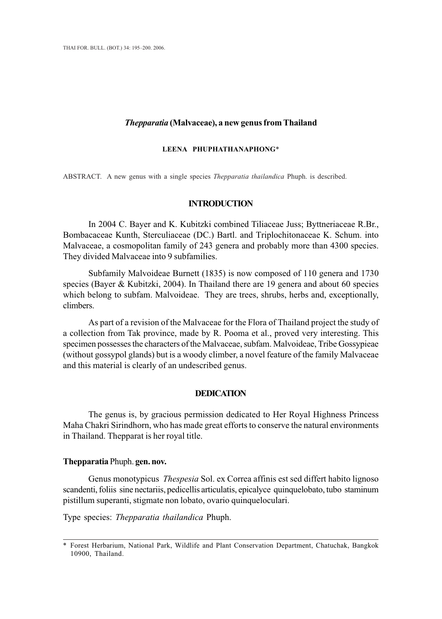## *Thepparatia* **(Malvaceae), a new genus from Thailand**

## **LEENA PHUPHATHANAPHONG**\*

ABSTRACT. A new genus with a single species *Thepparatia thailandica* Phuph. is described.

## **INTRODUCTION**

In 2004 C. Bayer and K. Kubitzki combined Tiliaceae Juss; Byttneriaceae R.Br., Bombacaceae Kunth, Sterculiaceae (DC.) Bartl. and Triplochitonaceae K. Schum. into Malvaceae, a cosmopolitan family of 243 genera and probably more than 4300 species. They divided Malvaceae into 9 subfamilies.

Subfamily Malvoideae Burnett (1835) is now composed of 110 genera and 1730 species (Bayer & Kubitzki, 2004). In Thailand there are 19 genera and about 60 species which belong to subfam. Malvoideae. They are trees, shrubs, herbs and, exceptionally, climbers.

As part of a revision of the Malvaceae for the Flora of Thailand project the study of a collection from Tak province, made by R. Pooma et al., proved very interesting. This specimen possesses the characters of the Malvaceae, subfam. Malvoideae, Tribe Gossypieae (without gossypol glands) but is a woody climber, a novel feature of the family Malvaceae and this material is clearly of an undescribed genus.

## **DEDICATION**

The genus is, by gracious permission dedicated to Her Royal Highness Princess Maha Chakri Sirindhorn, who has made great efforts to conserve the natural environments in Thailand. Thepparat is her royal title.

#### **Thepparatia** Phuph. **gen. nov.**

Genus monotypicus *Thespesia* Sol. ex Correa affinis est sed differt habito lignoso scandenti, foliis sine nectariis, pedicellis articulatis, epicalyce quinquelobato, tubo staminum pistillum superanti, stigmate non lobato, ovario quinqueloculari.

Type species: *Thepparatia thailandica* Phuph.

<sup>\*</sup> Forest Herbarium, National Park, Wildlife and Plant Conservation Department, Chatuchak, Bangkok 10900, Thailand.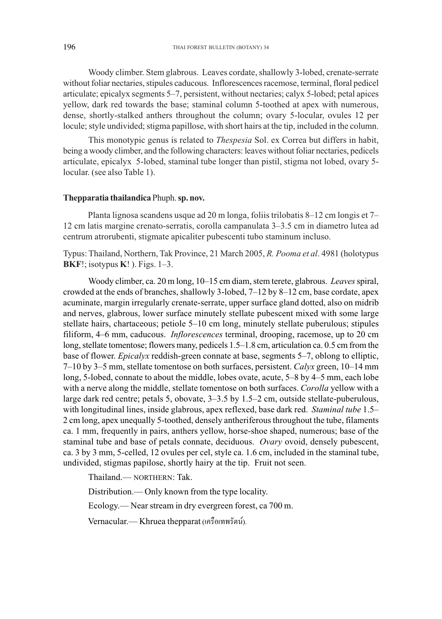Woody climber. Stem glabrous. Leaves cordate, shallowly 3-lobed, crenate-serrate without foliar nectaries, stipules caducous. Inflorescences racemose, terminal, floral pedicel articulate; epicalyx segments 5–7, persistent, without nectaries; calyx 5-lobed; petal apices yellow, dark red towards the base; staminal column 5-toothed at apex with numerous, dense, shortly-stalked anthers throughout the column; ovary 5-locular, ovules 12 per locule; style undivided; stigma papillose, with short hairs at the tip, included in the column.

This monotypic genus is related to *Thespesia* Sol. ex Correa but differs in habit, being a woody climber, and the following characters: leaves without foliar nectaries, pedicels articulate, epicalyx 5-lobed, staminal tube longer than pistil, stigma not lobed, ovary 5 locular. (see also Table 1).

## **Thepparatia thailandica** Phuph. **sp. nov.**

Planta lignosa scandens usque ad 20 m longa, foliis trilobatis 8–12 cm longis et 7– 12 cm latis margine crenato-serratis, corolla campanulata 3–3.5 cm in diametro lutea ad centrum atrorubenti, stigmate apicaliter pubescenti tubo staminum incluso.

Typus: Thailand, Northern, Tak Province, 21 March 2005, *R. Pooma et al*. 4981 (holotypus **BKF**!; isotypus **K**! ). Figs. 1–3.

Woody climber, ca. 20 m long, 10–15 cm diam, stem terete, glabrous. *Leaves* spiral, crowded at the ends of branches, shallowly 3-lobed,  $7-12$  by 8-12 cm, base cordate, apex acuminate, margin irregularly crenate-serrate, upper surface gland dotted, also on midrib and nerves, glabrous, lower surface minutely stellate pubescent mixed with some large stellate hairs, chartaceous; petiole 5–10 cm long, minutely stellate puberulous; stipules filiform, 4–6 mm, caducous. *Inflorescences* terminal, drooping, racemose, up to 20 cm long, stellate tomentose; flowers many, pedicels 1.5–1.8 cm, articulation ca. 0.5 cm from the base of flower. *Epicalyx* reddish-green connate at base, segments 5–7, oblong to elliptic, 7–10 by 3–5 mm, stellate tomentose on both surfaces, persistent. *Calyx* green, 10–14 mm long, 5-lobed, connate to about the middle, lobes ovate, acute, 5–8 by 4–5 mm, each lobe with a nerve along the middle, stellate tomentose on both surfaces. *Corolla* yellow with a large dark red centre; petals 5, obovate, 3–3.5 by 1.5–2 cm, outside stellate-puberulous, with longitudinal lines, inside glabrous, apex reflexed, base dark red. *Staminal tube* 1.5– 2 cm long, apex unequally 5-toothed, densely antheriferous throughout the tube, filaments ca. 1 mm, frequently in pairs, anthers yellow, horse-shoe shaped, numerous; base of the staminal tube and base of petals connate, deciduous. *Ovary* ovoid, densely pubescent, ca. 3 by 3 mm, 5-celled, 12 ovules per cel, style ca. 1.6 cm, included in the staminal tube, undivided, stigmas papilose, shortly hairy at the tip. Fruit not seen.

Thailand.— NORTHERN: Tak.

Distribution.— Only known from the type locality.

Ecology.— Near stream in dry evergreen forest, ca 700 m.

Vernacular.— Khruea thepparat (เครือเทพรัตน์).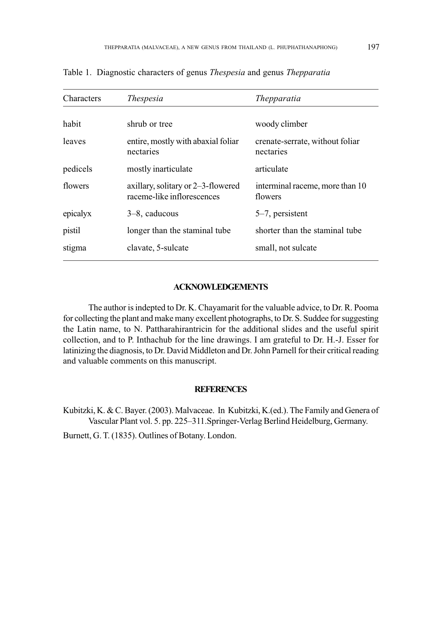| Characters | <i>Thespesia</i>                                                 | <i>Thepparatia</i>                           |
|------------|------------------------------------------------------------------|----------------------------------------------|
| habit      | shrub or tree                                                    | woody climber                                |
| leaves     | entire, mostly with abaxial foliar<br>nectaries                  | crenate-serrate, without foliar<br>nectaries |
| pedicels   | mostly inarticulate                                              | articulate                                   |
| flowers    | axillary, solitary or 2–3-flowered<br>raceme-like inflorescences | interminal raceme, more than 10<br>flowers   |
| epicalyx   | $3-8$ , caducous                                                 | $5-7$ , persistent                           |
| pistil     | longer than the staminal tube.                                   | shorter than the staminal tube               |
| stigma     | clavate, 5-sulcate                                               | small, not sulcate                           |

Table 1. Diagnostic characters of genus *Thespesia* and genus *Thepparatia*

# **ACKNOWLEDGEMENTS**

The author is indepted to Dr. K. Chayamarit for the valuable advice, to Dr. R. Pooma for collecting the plant and make many excellent photographs, to Dr. S. Suddee for suggesting the Latin name, to N. Pattharahirantricin for the additional slides and the useful spirit collection, and to P. Inthachub for the line drawings. I am grateful to Dr. H.-J. Esser for latinizing the diagnosis, to Dr. David Middleton and Dr. John Parnell for their critical reading and valuable comments on this manuscript.

### **REFERENCES**

Kubitzki, K. & C. Bayer. (2003). Malvaceae. In Kubitzki, K.(ed.). The Family and Genera of Vascular Plant vol. 5. pp. 225–311.Springer-Verlag Berlind Heidelburg, Germany.

Burnett, G. T. (1835). Outlines of Botany. London.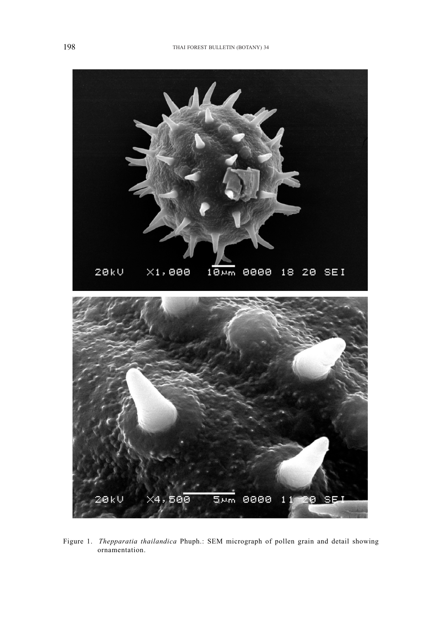

Figure 1. *Thepparatia thailandica* Phuph.: SEM micrograph of pollen grain and detail showing ornamentation.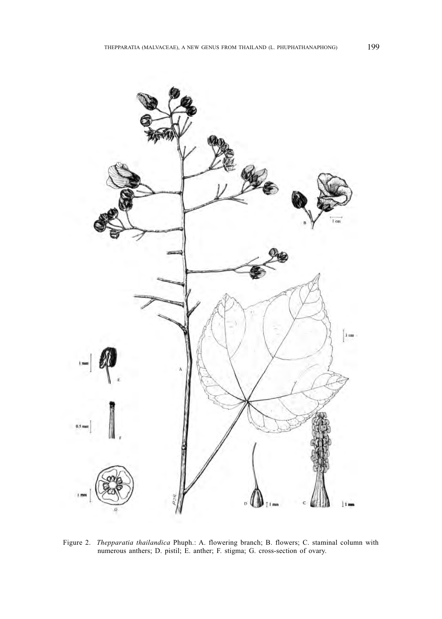

Figure 2. *Thepparatia thailandica* Phuph.: A. flowering branch; B. flowers; C. staminal column with numerous anthers; D. pistil; E. anther; F. stigma; G. cross-section of ovary.